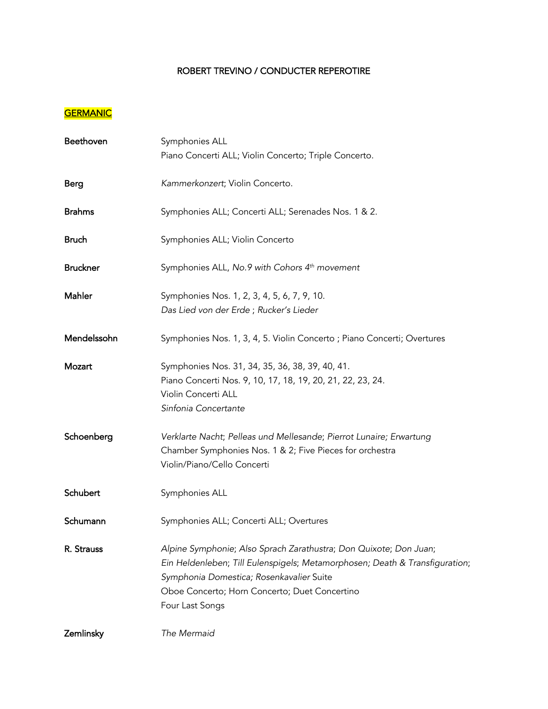### ROBERT TREVINO / CONDUCTER REPEROTIRE

### **GERMANIC**

| Beethoven       | Symphonies ALL<br>Piano Concerti ALL; Violin Concerto; Triple Concerto.                                                                                                                                                                                          |
|-----------------|------------------------------------------------------------------------------------------------------------------------------------------------------------------------------------------------------------------------------------------------------------------|
| <b>Berg</b>     | Kammerkonzert; Violin Concerto.                                                                                                                                                                                                                                  |
| <b>Brahms</b>   | Symphonies ALL; Concerti ALL; Serenades Nos. 1 & 2.                                                                                                                                                                                                              |
| <b>Bruch</b>    | Symphonies ALL; Violin Concerto                                                                                                                                                                                                                                  |
| <b>Bruckner</b> | Symphonies ALL, No.9 with Cohors 4th movement                                                                                                                                                                                                                    |
| Mahler          | Symphonies Nos. 1, 2, 3, 4, 5, 6, 7, 9, 10.<br>Das Lied von der Erde; Rucker's Lieder                                                                                                                                                                            |
| Mendelssohn     | Symphonies Nos. 1, 3, 4, 5. Violin Concerto; Piano Concerti; Overtures                                                                                                                                                                                           |
| Mozart          | Symphonies Nos. 31, 34, 35, 36, 38, 39, 40, 41.<br>Piano Concerti Nos. 9, 10, 17, 18, 19, 20, 21, 22, 23, 24.<br>Violin Concerti ALL<br>Sinfonia Concertante                                                                                                     |
| Schoenberg      | Verklarte Nacht; Pelleas und Mellesande; Pierrot Lunaire; Erwartung<br>Chamber Symphonies Nos. 1 & 2; Five Pieces for orchestra<br>Violin/Piano/Cello Concerti                                                                                                   |
| Schubert        | Symphonies ALL                                                                                                                                                                                                                                                   |
| Schumann        | Symphonies ALL; Concerti ALL; Overtures                                                                                                                                                                                                                          |
| R. Strauss      | Alpine Symphonie; Also Sprach Zarathustra; Don Quixote; Don Juan;<br>Ein Heldenleben; Till Eulenspigels; Metamorphosen; Death & Transfiguration;<br>Symphonia Domestica; Rosenkavalier Suite<br>Oboe Concerto; Horn Concerto; Duet Concertino<br>Four Last Songs |
| Zemlinsky       | The Mermaid                                                                                                                                                                                                                                                      |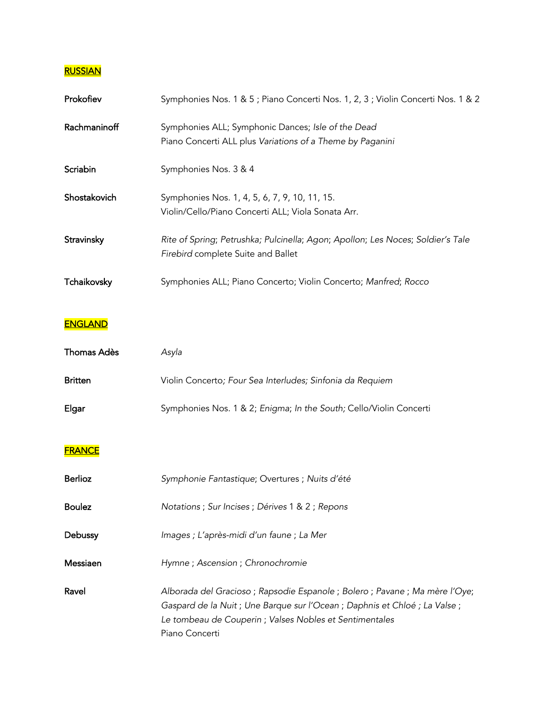### **RUSSIAN**

| Prokofiev    | Symphonies Nos. 1 & 5; Piano Concerti Nos. 1, 2, 3; Violin Concerti Nos. 1 & 2                                        |
|--------------|-----------------------------------------------------------------------------------------------------------------------|
| Rachmaninoff | Symphonies ALL; Symphonic Dances; Isle of the Dead<br>Piano Concerti ALL plus Variations of a Theme by Paganini       |
| Scriabin     | Symphonies Nos. 3 & 4                                                                                                 |
| Shostakovich | Symphonies Nos. 1, 4, 5, 6, 7, 9, 10, 11, 15.<br>Violin/Cello/Piano Concerti ALL; Viola Sonata Arr.                   |
| Stravinsky   | Rite of Spring; Petrushka; Pulcinella; Agon; Apollon; Les Noces; Soldier's Tale<br>Firebird complete Suite and Ballet |
| Tchaikovsky  | Symphonies ALL; Piano Concerto; Violin Concerto; Manfred; Rocco                                                       |

# **ENGLAND**

| Thomas Adès    | Asvla                                                              |
|----------------|--------------------------------------------------------------------|
| <b>Britten</b> | Violin Concerto; Four Sea Interludes; Sinfonia da Requiem          |
| Elgar          | Symphonies Nos. 1 & 2; Enigma; In the South; Cello/Violin Concerti |

# **FRANCE**

| <b>Berlioz</b> | Symphonie Fantastique; Overtures ; Nuits d'été                                                                                                                                                                                       |
|----------------|--------------------------------------------------------------------------------------------------------------------------------------------------------------------------------------------------------------------------------------|
| <b>Boulez</b>  | Notations ; Sur Incises ; Dérives 1 & 2 ; Repons                                                                                                                                                                                     |
| Debussy        | Images ; L'après-midi d'un faune ; La Mer                                                                                                                                                                                            |
| Messiaen       | Hymne; Ascension; Chronochromie                                                                                                                                                                                                      |
| Ravel          | Alborada del Gracioso; Rapsodie Espanole; Bolero; Pavane; Ma mère l'Oye;<br>Gaspard de la Nuit ; Une Barque sur l'Ocean ; Daphnis et Chloé ; La Valse ;<br>Le tombeau de Couperin ; Valses Nobles et Sentimentales<br>Piano Concerti |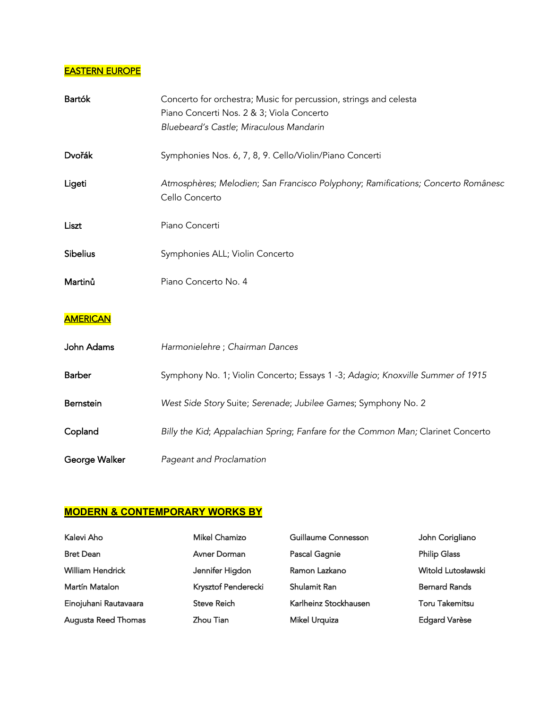## **EASTERN EUROPE**

| Bartók          | Concerto for orchestra; Music for percussion, strings and celesta<br>Piano Concerti Nos. 2 & 3; Viola Concerto<br>Bluebeard's Castle; Miraculous Mandarin |  |
|-----------------|-----------------------------------------------------------------------------------------------------------------------------------------------------------|--|
| Dvořák          | Symphonies Nos. 6, 7, 8, 9. Cello/Violin/Piano Concerti                                                                                                   |  |
| Ligeti          | Atmosphères; Melodien; San Francisco Polyphony; Ramifications; Concerto Românesc<br>Cello Concerto                                                        |  |
| Liszt           | Piano Concerti                                                                                                                                            |  |
| <b>Sibelius</b> | Symphonies ALL; Violin Concerto                                                                                                                           |  |
| Martinů         | Piano Concerto No. 4                                                                                                                                      |  |
| <b>AMERICAN</b> |                                                                                                                                                           |  |
| John Adams      | Harmonielehre ; Chairman Dances                                                                                                                           |  |
| <b>Barber</b>   | Symphony No. 1; Violin Concerto; Essays 1 -3; Adagio; Knoxville Summer of 1915                                                                            |  |
| Bernstein       | West Side Story Suite; Serenade; Jubilee Games; Symphony No. 2                                                                                            |  |
| Copland         | Billy the Kid; Appalachian Spring; Fanfare for the Common Man; Clarinet Concerto                                                                          |  |
| George Walker   | Pageant and Proclamation                                                                                                                                  |  |

# **MODERN & CONTEMPORARY WORKS BY**

| Kalevi Aho              | <b>Mikel Chamizo</b> | Guillaume Connesson   | John Corigliano       |
|-------------------------|----------------------|-----------------------|-----------------------|
| <b>Bret Dean</b>        | Avner Dorman         | Pascal Gagnie         | <b>Philip Glass</b>   |
| <b>William Hendrick</b> | Jennifer Higdon      | Ramon Lazkano         | Witold Lutosławski    |
| Martín Matalon          | Krysztof Penderecki  | Shulamit Ran          | <b>Bernard Rands</b>  |
| Einojuhani Rautavaara   | <b>Steve Reich</b>   | Karlheinz Stockhausen | <b>Toru Takemitsu</b> |
| Augusta Reed Thomas     | Zhou Tian            | <b>Mikel Urquiza</b>  | <b>Edgard Varèse</b>  |